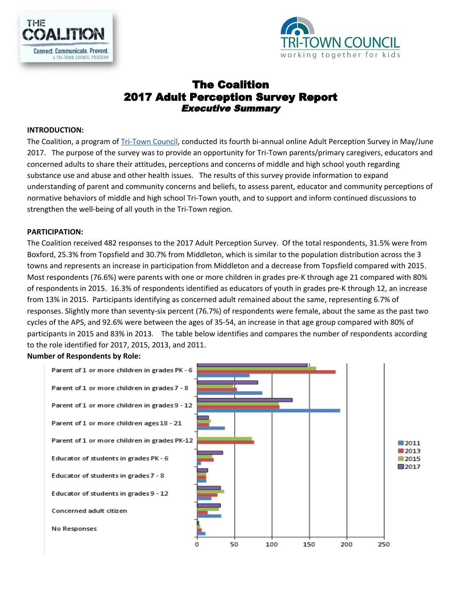



# The Coalition 2017 Adult Perception Survey Report Executive Summary

#### **INTRODUCTION:**

The Coalition, a program of [Tri-Town](http://www.tritowncouncil.org/) Council, conducted its fourth bi-annual online Adult Perception Survey in May/June 2017. The purpose of the survey was to provide an opportunity for Tri-Town parents/primary caregivers, educators and concerned adults to share their attitudes, perceptions and concerns of middle and high school youth regarding substance use and abuse and other health issues. The results of this survey provide information to expand understanding of parent and community concerns and beliefs, to assess parent, educator and community perceptions of normative behaviors of middle and high school Tri-Town youth, and to support and inform continued discussions to strengthen the well-being of all youth in the Tri-Town region.

#### **PARTICIPATION:**

The Coalition received 482 responses to the 2017 Adult Perception Survey. Of the total respondents, 31.5% were from Boxford, 25.3% from Topsfield and 30.7% from Middleton, which is similar to the population distribution across the 3 towns and represents an increase in participation from Middleton and a decrease from Topsfield compared with 2015. Most respondents (76.6%) were parents with one or more children in grades pre-K through age 21 compared with 80% of respondents in 2015. 16.3% of respondents identified as educators of youth in grades pre-K through 12, an increase from 13% in 2015. Participants identifying as concerned adult remained about the same, representing 6.7% of responses. Slightly more than seventy-six percent (76.7%) of respondents were female, about the same as the past two cycles of the APS, and 92.6% were between the ages of 35-54, an increase in that age group compared with 80% of participants in 2015 and 83% in 2013. The table below identifies and compares the number of respondents according to the role identified for 2017, 2015, 2013, and 2011.

#### **Number of Respondents by Role:**

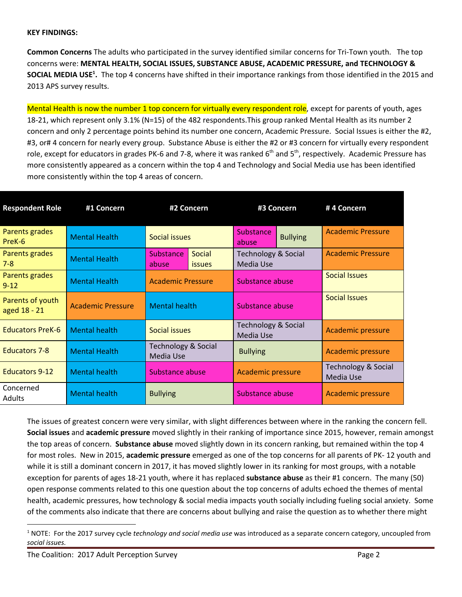#### **KEY FINDINGS:**

**Common Concerns** The adults who participated in the survey identified similar concerns for Tri-Town youth. The top concerns were: **MENTAL HEALTH, SOCIAL ISSUES, SUBSTANCE ABUSE, ACADEMIC PRESSURE, and TECHNOLOGY & SOCIAL MEDIA USE<sup>1</sup>.** The top 4 concerns have shifted in their importance rankings from those identified in the 2015 and 2013 APS survey results.

Mental Health is now the number 1 top concern for virtually every respondent role, except for parents of youth, ages 18-21, which represent only 3.1% (N=15) of the 482 respondents.This group ranked Mental Health as its number 2 concern and only 2 percentage points behind its number one concern, Academic Pressure. Social Issues is either the #2, #3, or# 4 concern for nearly every group. Substance Abuse is either the #2 or #3 concern for virtually every respondent role, except for educators in grades PK-6 and 7-8, where it was ranked 6<sup>th</sup> and 5<sup>th</sup>, respectively. Academic Pressure has more consistently appeared as a concern within the top 4 and Technology and Social Media use has been identified more consistently within the top 4 areas of concern.

| <b>Respondent Role</b>           | #1 Concern               | #2 Concern                                  |                         | #3 Concern                                  |                      | #4 Concern                       |  |
|----------------------------------|--------------------------|---------------------------------------------|-------------------------|---------------------------------------------|----------------------|----------------------------------|--|
| Parents grades<br>PreK-6         | <b>Mental Health</b>     | Social issues                               |                         | <b>Substance</b><br>abuse                   | <b>Bullying</b>      | <b>Academic Pressure</b>         |  |
| Parents grades<br>$7 - 8$        | <b>Mental Health</b>     | Substance<br>abuse                          | Social<br><i>issues</i> | Technology & Social<br>Media Use            |                      | <b>Academic Pressure</b>         |  |
| Parents grades<br>$9 - 12$       | <b>Mental Health</b>     | <b>Academic Pressure</b>                    | Substance abuse         |                                             | <b>Social Issues</b> |                                  |  |
| Parents of youth<br>aged 18 - 21 | <b>Academic Pressure</b> | <b>Mental health</b>                        |                         | Substance abuse                             |                      | <b>Social Issues</b>             |  |
| <b>Educators PreK-6</b>          | <b>Mental health</b>     | Social issues                               |                         | <b>Technology &amp; Social</b><br>Media Use |                      | <b>Academic pressure</b>         |  |
| <b>Educators 7-8</b>             | <b>Mental Health</b>     | <b>Technology &amp; Social</b><br>Media Use |                         | <b>Bullying</b>                             |                      | Academic pressure                |  |
| <b>Educators 9-12</b>            | <b>Mental health</b>     | Substance abuse                             |                         | <b>Academic pressure</b>                    |                      | Technology & Social<br>Media Use |  |
| Concerned<br>Adults              | <b>Mental health</b>     | <b>Bullying</b>                             |                         | Substance abuse                             |                      | <b>Academic pressure</b>         |  |

The issues of greatest concern were very similar, with slight differences between where in the ranking the concern fell. **Social issues** and **academic pressure** moved slightly in their ranking of importance since 2015, however, remain amongst the top areas of concern. **Substance abuse** moved slightly down in its concern ranking, but remained within the top 4 for most roles. New in 2015, **academic pressure** emerged as one of the top concerns for all parents of PK- 12 youth and while it is still a dominant concern in 2017, it has moved slightly lower in its ranking for most groups, with a notable exception for parents of ages 18-21 youth, where it has replaced **substance abuse** as their #1 concern. The many (50) open response comments related to this one question about the top concerns of adults echoed the themes of mental health, academic pressures, how technology & social media impacts youth socially including fueling social anxiety. Some of the comments also indicate that there are concerns about bullying and raise the question as to whether there might

<sup>1</sup> NOTE: For the 2017 survey cycle *technology and social media use* was introduced as a separate concern category, uncoupled from *social issues.*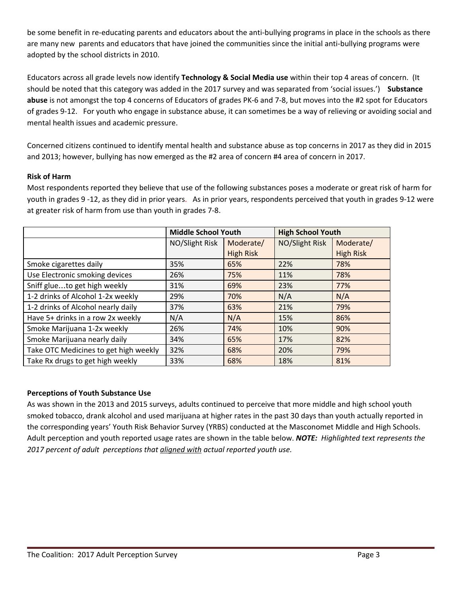be some benefit in re-educating parents and educators about the anti-bullying programs in place in the schools as there are many new parents and educators that have joined the communities since the initial anti-bullying programs were adopted by the school districts in 2010.

Educators across all grade levels now identify **Technology & Social Media use** within their top 4 areas of concern. (It should be noted that this category was added in the 2017 survey and was separated from 'social issues.') **Substance abuse** is not amongst the top 4 concerns of Educators of grades PK-6 and 7-8, but moves into the #2 spot for Educators of grades 9-12. For youth who engage in substance abuse, it can sometimes be a way of relieving or avoiding social and mental health issues and academic pressure.

Concerned citizens continued to identify mental health and substance abuse as top concerns in 2017 as they did in 2015 and 2013; however, bullying has now emerged as the #2 area of concern #4 area of concern in 2017.

#### **Risk of Harm**

Most respondents reported they believe that use of the following substances poses a moderate or great risk of harm for youth in grades 9 -12, as they did in prior years. As in prior years, respondents perceived that youth in grades 9-12 were at greater risk of harm from use than youth in grades 7-8.

|                                       | <b>Middle School Youth</b>  |                  | <b>High School Youth</b> |                  |  |
|---------------------------------------|-----------------------------|------------------|--------------------------|------------------|--|
|                                       | NO/Slight Risk<br>Moderate/ |                  | NO/Slight Risk           | Moderate/        |  |
|                                       |                             | <b>High Risk</b> |                          | <b>High Risk</b> |  |
| Smoke cigarettes daily                | 35%                         | 65%              | 22%                      | 78%              |  |
| Use Electronic smoking devices        | 26%                         | 75%              | 11%                      | 78%              |  |
| Sniff glueto get high weekly          | 31%                         | 69%              | 23%                      | 77%              |  |
| 1-2 drinks of Alcohol 1-2x weekly     | 29%                         | 70%              | N/A                      | N/A              |  |
| 1-2 drinks of Alcohol nearly daily    | 37%                         | 63%              | 21%                      | 79%              |  |
| Have 5+ drinks in a row 2x weekly     | N/A                         | N/A              | 15%                      | 86%              |  |
| Smoke Marijuana 1-2x weekly           | 26%                         | 74%              | 10%                      | 90%              |  |
| Smoke Marijuana nearly daily          | 34%                         | 65%              | 17%                      | 82%              |  |
| Take OTC Medicines to get high weekly | 32%                         | 68%              | 20%                      | 79%              |  |
| Take Rx drugs to get high weekly      | 33%                         | 68%              | 18%                      | 81%              |  |

#### **Perceptions of Youth Substance Use**

As was shown in the 2013 and 2015 surveys, adults continued to perceive that more middle and high school youth smoked tobacco, drank alcohol and used marijuana at higher rates in the past 30 days than youth actually reported in the corresponding years' Youth Risk Behavior Survey (YRBS) conducted at the Masconomet Middle and High Schools. Adult perception and youth reported usage rates are shown in the table below. *NOTE: Highlighted text represents the 2017 percent of adult perceptions that aligned with actual reported youth use.*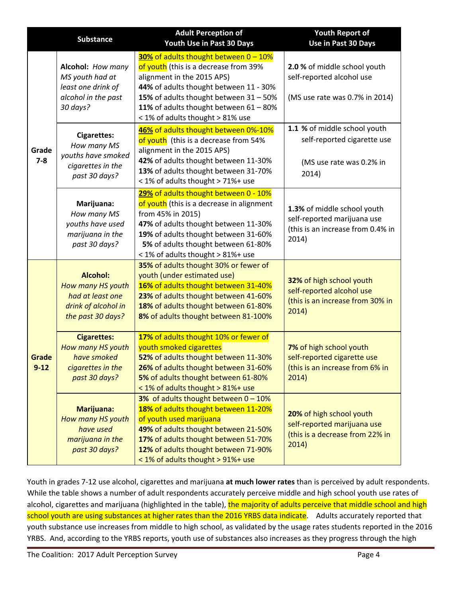|                   | <b>Substance</b>                                                                                     | <b>Adult Perception of</b><br>Youth Use in Past 30 Days                                                                                                                                                                                                                        | <b>Youth Report of</b><br>Use in Past 30 Days                                                            |
|-------------------|------------------------------------------------------------------------------------------------------|--------------------------------------------------------------------------------------------------------------------------------------------------------------------------------------------------------------------------------------------------------------------------------|----------------------------------------------------------------------------------------------------------|
|                   | Alcohol: How many<br>MS youth had at<br>least one drink of<br>alcohol in the past<br>30 days?        | 30% of adults thought between 0 - 10%<br>of youth (this is a decrease from 39%<br>alignment in the 2015 APS)<br>44% of adults thought between 11 - 30%<br>15% of adults thought between 31 - 50%<br>11% of adults thought between 61 - 80%<br>< 1% of adults thought > 81% use | 2.0 % of middle school youth<br>self-reported alcohol use<br>(MS use rate was 0.7% in 2014)              |
| Grade<br>$7 - 8$  | <b>Cigarettes:</b><br>How many MS<br>youths have smoked<br>cigarettes in the<br>past 30 days?        | 46% of adults thought between 0%-10%<br>of youth (this is a decrease from 54%<br>alignment in the 2015 APS)<br>42% of adults thought between 11-30%<br>13% of adults thought between 31-70%<br>< 1% of adults thought > 71%+ use                                               | 1.1 % of middle school youth<br>self-reported cigarette use<br>(MS use rate was 0.2% in<br>2014)         |
|                   | Marijuana:<br>How many MS<br>youths have used<br>marijuana in the<br>past 30 days?                   | 29% of adults thought between 0 - 10%<br>of youth (this is a decrease in alignment<br>from 45% in 2015)<br>47% of adults thought between 11-30%<br>19% of adults thought between 31-60%<br>5% of adults thought between 61-80%<br>< 1% of adults thought > 81%+ use            | 1.3% of middle school youth<br>self-reported marijuana use<br>(this is an increase from 0.4% in<br>2014) |
|                   | <b>Alcohol:</b><br>How many HS youth<br>had at least one<br>drink of alcohol in<br>the past 30 days? | 35% of adults thought 30% or fewer of<br>youth (under estimated use)<br>16% of adults thought between 31-40%<br>23% of adults thought between 41-60%<br>18% of adults thought between 61-80%<br>8% of adults thought between 81-100%                                           | 32% of high school youth<br>self-reported alcohol use<br>(this is an increase from 30% in<br>2014)       |
| Grade<br>$9 - 12$ | <b>Cigarettes:</b><br>How many HS youth<br>have smoked<br>cigarettes in the<br>past 30 days?         | 17% of adults thought 10% or fewer of<br>youth smoked cigarettes<br>52% of adults thought between 11-30%<br>26% of adults thought between 31-60%<br>5% of adults thought between 61-80%<br>< 1% of adults thought > 81%+ use                                                   | 7% of high school youth<br>self-reported cigarette use<br>(this is an increase from 6% in<br>2014)       |
|                   | Marijuana:<br>How many HS youth<br>have used<br>marijuana in the<br>past 30 days?                    | 3% of adults thought between $0 - 10\%$<br>18% of adults thought between 11-20%<br>of youth used marijuana<br>49% of adults thought between 21-50%<br>17% of adults thought between 51-70%<br>12% of adults thought between 71-90%<br>< 1% of adults thought > 91%+ use        | 20% of high school youth<br>self-reported marijuana use<br>(this is a decrease from 22% in<br>2014)      |

Youth in grades 7-12 use alcohol, cigarettes and marijuana **at much lower rates** than is perceived by adult respondents. While the table shows a number of adult respondents accurately perceive middle and high school youth use rates of alcohol, cigarettes and marijuana (highlighted in the table), the majority of adults perceive that middle school and high school youth are using substances at higher rates than the 2016 YRBS data indicate. Adults accurately reported that youth substance use increases from middle to high school, as validated by the usage rates students reported in the 2016 YRBS. And, according to the YRBS reports, youth use of substances also increases as they progress through the high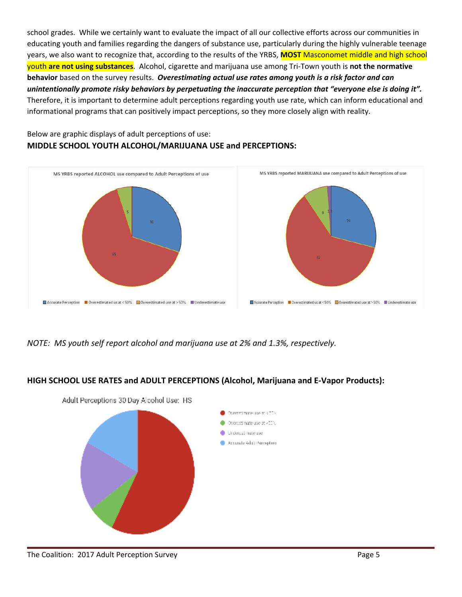school grades. While we certainly want to evaluate the impact of all our collective efforts across our communities in educating youth and families regarding the dangers of substance use, particularly during the highly vulnerable teenage years, we also want to recognize that, according to the results of the YRBS, **MOST** Masconomet middle and high school youth **are not using substances**. Alcohol, cigarette and marijuana use among Tri-Town youth is **not the normative behavior** based on the survey results. *Overestimating actual use rates among youth is a risk factor and can unintentionally promote risky behaviors by perpetuating the inaccurate perception that "everyone else is doing it".* Therefore, it is important to determine adult perceptions regarding youth use rate, which can inform educational and informational programs that can positively impact perceptions, so they more closely align with reality.

## Below are graphic displays of adult perceptions of use: **MIDDLE SCHOOL YOUTH ALCOHOL/MARIJUANA USE and PERCEPTIONS:**



*NOTE: MS youth self report alcohol and marijuana use at 2% and 1.3%, respectively.*

## **HIGH SCHOOL USE RATES and ADULT PERCEPTIONS (Alcohol, Marijuana and E-Vapor Products):**



Adult Perceptions 30 Day Alcohol Use: HS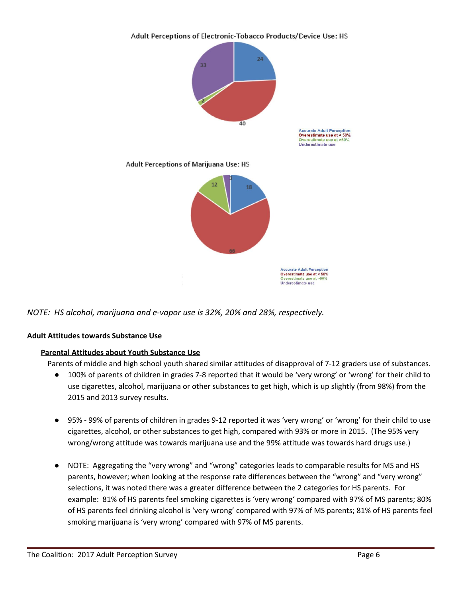Adult Perceptions of Electronic-Tobacco Products/Device Use: HS



*NOTE: HS alcohol, marijuana and e-vapor use is 32%, 20% and 28%, respectively.*

### **Adult Attitudes towards Substance Use**

### **Parental Attitudes about Youth Substance Use**

Parents of middle and high school youth shared similar attitudes of disapproval of 7-12 graders use of substances.

- 100% of parents of children in grades 7-8 reported that it would be 'very wrong' or 'wrong' for their child to use cigarettes, alcohol, marijuana or other substances to get high, which is up slightly (from 98%) from the 2015 and 2013 survey results.
- 95% 99% of parents of children in grades 9-12 reported it was 'very wrong' or 'wrong' for their child to use cigarettes, alcohol, or other substances to get high, compared with 93% or more in 2015. (The 95% very wrong/wrong attitude was towards marijuana use and the 99% attitude was towards hard drugs use.)
- NOTE: Aggregating the "very wrong" and "wrong" categories leads to comparable results for MS and HS parents, however; when looking at the response rate differences between the "wrong" and "very wrong" selections, it was noted there was a greater difference between the 2 categories for HS parents. For example: 81% of HS parents feel smoking cigarettes is 'very wrong' compared with 97% of MS parents; 80% of HS parents feel drinking alcohol is 'very wrong' compared with 97% of MS parents; 81% of HS parents feel smoking marijuana is 'very wrong' compared with 97% of MS parents.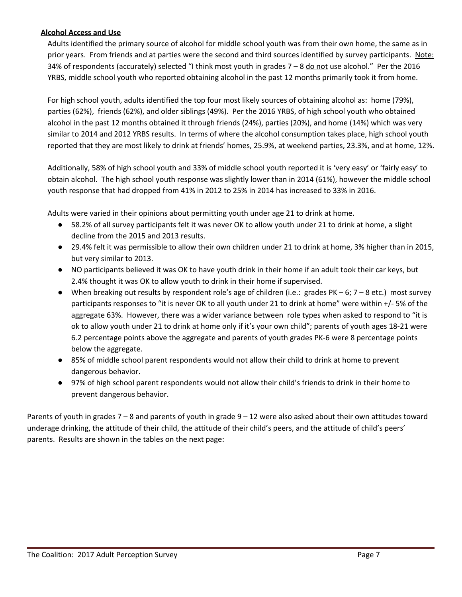#### **Alcohol Access and Use**

Adults identified the primary source of alcohol for middle school youth was from their own home, the same as in prior years. From friends and at parties were the second and third sources identified by survey participants. Note: 34% of respondents (accurately) selected "I think most youth in grades  $7 - 8$  do not use alcohol." Per the 2016 YRBS, middle school youth who reported obtaining alcohol in the past 12 months primarily took it from home.

For high school youth, adults identified the top four most likely sources of obtaining alcohol as: home (79%), parties (62%), friends (62%), and older siblings (49%). Per the 2016 YRBS, of high school youth who obtained alcohol in the past 12 months obtained it through friends (24%), parties (20%), and home (14%) which was very similar to 2014 and 2012 YRBS results. In terms of where the alcohol consumption takes place, high school youth reported that they are most likely to drink at friends' homes, 25.9%, at weekend parties, 23.3%, and at home, 12%.

Additionally, 58% of high school youth and 33% of middle school youth reported it is 'very easy' or 'fairly easy' to obtain alcohol. The high school youth response was slightly lower than in 2014 (61%), however the middle school youth response that had dropped from 41% in 2012 to 25% in 2014 has increased to 33% in 2016.

Adults were varied in their opinions about permitting youth under age 21 to drink at home.

- 58.2% of all survey participants felt it was never OK to allow youth under 21 to drink at home, a slight decline from the 2015 and 2013 results.
- 29.4% felt it was permissible to allow their own children under 21 to drink at home, 3% higher than in 2015, but very similar to 2013.
- NO participants believed it was OK to have youth drink in their home if an adult took their car keys, but 2.4% thought it was OK to allow youth to drink in their home if supervised.
- When breaking out results by respondent role's age of children (i.e.: grades PK 6;  $7 8$  etc.) most survey participants responses to "it is never OK to all youth under 21 to drink at home" were within +/- 5% of the aggregate 63%. However, there was a wider variance between role types when asked to respond to "it is ok to allow youth under 21 to drink at home only if it's your own child"; parents of youth ages 18-21 were 6.2 percentage points above the aggregate and parents of youth grades PK-6 were 8 percentage points below the aggregate.
- 85% of middle school parent respondents would not allow their child to drink at home to prevent dangerous behavior.
- 97% of high school parent respondents would not allow their child's friends to drink in their home to prevent dangerous behavior.

Parents of youth in grades 7 – 8 and parents of youth in grade 9 – 12 were also asked about their own attitudes toward underage drinking, the attitude of their child, the attitude of their child's peers, and the attitude of child's peers' parents. Results are shown in the tables on the next page: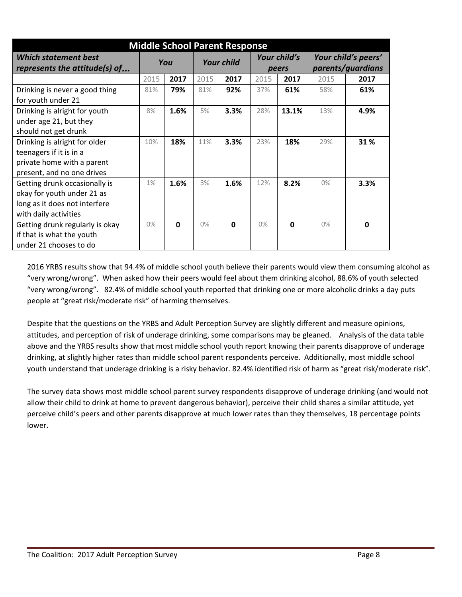| <b>Middle School Parent Response</b>                                                                                  |      |             |                   |              |                       |             |                                          |             |
|-----------------------------------------------------------------------------------------------------------------------|------|-------------|-------------------|--------------|-----------------------|-------------|------------------------------------------|-------------|
| <b>Which statement best</b><br>represents the attitude(s) of                                                          | You  |             | <b>Your child</b> |              | Your child's<br>peers |             | Your child's peers'<br>parents/guardians |             |
|                                                                                                                       | 2015 | 2017        | 2015              | 2017         | 2015                  | 2017        | 2015                                     | 2017        |
| Drinking is never a good thing<br>for youth under 21                                                                  | 81%  | 79%         | 81%               | 92%          | 37%                   | 61%         | 58%                                      | 61%         |
| Drinking is alright for youth<br>under age 21, but they<br>should not get drunk                                       | 8%   | 1.6%        | 5%                | 3.3%         | 28%                   | 13.1%       | 13%                                      | 4.9%        |
| Drinking is alright for older<br>teenagers if it is in a<br>private home with a parent<br>present, and no one drives  | 10%  | 18%         | 11%               | 3.3%         | 23%                   | 18%         | 29%                                      | 31 %        |
| Getting drunk occasionally is<br>okay for youth under 21 as<br>long as it does not interfere<br>with daily activities | 1%   | 1.6%        | 3%                | 1.6%         | 12%                   | 8.2%        | 0%                                       | 3.3%        |
| Getting drunk regularly is okay<br>if that is what the youth<br>under 21 chooses to do                                | 0%   | $\mathbf 0$ | $0\%$             | $\mathbf{0}$ | $0\%$                 | $\mathbf 0$ | 0%                                       | $\mathbf 0$ |

2016 YRBS results show that 94.4% of middle school youth believe their parents would view them consuming alcohol as "very wrong/wrong". When asked how their peers would feel about them drinking alcohol, 88.6% of youth selected "very wrong/wrong". 82.4% of middle school youth reported that drinking one or more alcoholic drinks a day puts people at "great risk/moderate risk" of harming themselves.

Despite that the questions on the YRBS and Adult Perception Survey are slightly different and measure opinions, attitudes, and perception of risk of underage drinking, some comparisons may be gleaned. Analysis of the data table above and the YRBS results show that most middle school youth report knowing their parents disapprove of underage drinking, at slightly higher rates than middle school parent respondents perceive. Additionally, most middle school youth understand that underage drinking is a risky behavior. 82.4% identified risk of harm as "great risk/moderate risk".

The survey data shows most middle school parent survey respondents disapprove of underage drinking (and would not allow their child to drink at home to prevent dangerous behavior), perceive their child shares a similar attitude, yet perceive child's peers and other parents disapprove at much lower rates than they themselves, 18 percentage points lower.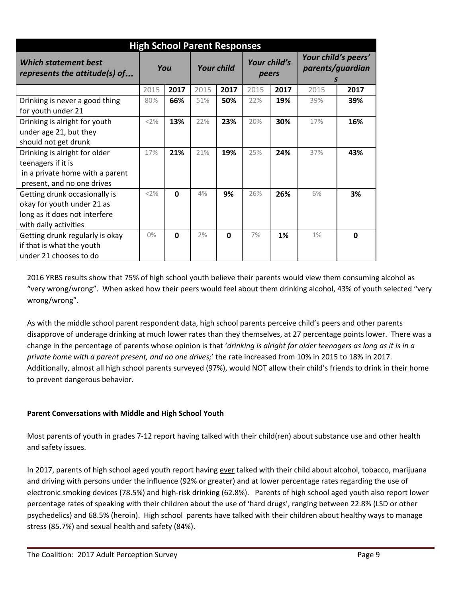| <b>High School Parent Responses</b>                                                                                   |       |             |                   |              |                       |      |                                              |      |
|-----------------------------------------------------------------------------------------------------------------------|-------|-------------|-------------------|--------------|-----------------------|------|----------------------------------------------|------|
| Which statement best<br>represents the attitude(s) of                                                                 | You   |             | <b>Your child</b> |              | Your child's<br>peers |      | Your child's peers'<br>parents/guardian<br>S |      |
|                                                                                                                       | 2015  | 2017        | 2015              | 2017         | 2015                  | 2017 | 2015                                         | 2017 |
| Drinking is never a good thing<br>for youth under 21                                                                  | 80%   | 66%         | 51%               | 50%          | 22%                   | 19%  | 39%                                          | 39%  |
| Drinking is alright for youth<br>under age 21, but they<br>should not get drunk                                       | <2%   | 13%         | 22%               | 23%          | 20%                   | 30%  | 17%                                          | 16%  |
| Drinking is alright for older<br>teenagers if it is<br>in a private home with a parent<br>present, and no one drives  | 17%   | 21%         | 21%               | 19%          | 25%                   | 24%  | 37%                                          | 43%  |
| Getting drunk occasionally is<br>okay for youth under 21 as<br>long as it does not interfere<br>with daily activities | <2%   | $\mathbf 0$ | 4%                | 9%           | 26%                   | 26%  | 6%                                           | 3%   |
| Getting drunk regularly is okay<br>if that is what the youth<br>under 21 chooses to do                                | $0\%$ | $\mathbf 0$ | 2%                | <sup>0</sup> | 7%                    | 1%   | 1%                                           | 0    |

2016 YRBS results show that 75% of high school youth believe their parents would view them consuming alcohol as "very wrong/wrong". When asked how their peers would feel about them drinking alcohol, 43% of youth selected "very wrong/wrong".

As with the middle school parent respondent data, high school parents perceive child's peers and other parents disapprove of underage drinking at much lower rates than they themselves, at 27 percentage points lower. There was a change in the percentage of parents whose opinion is that '*drinking is alright for older teenagers as long as it is in a private home with a parent present, and no one drives;*' the rate increased from 10% in 2015 to 18% in 2017. Additionally, almost all high school parents surveyed (97%), would NOT allow their child's friends to drink in their home to prevent dangerous behavior.

### **Parent Conversations with Middle and High School Youth**

Most parents of youth in grades 7-12 report having talked with their child(ren) about substance use and other health and safety issues.

In 2017, parents of high school aged youth report having ever talked with their child about alcohol, tobacco, marijuana and driving with persons under the influence (92% or greater) and at lower percentage rates regarding the use of electronic smoking devices (78.5%) and high-risk drinking (62.8%). Parents of high school aged youth also report lower percentage rates of speaking with their children about the use of 'hard drugs', ranging between 22.8% (LSD or other psychedelics) and 68.5% (heroin). High school parents have talked with their children about healthy ways to manage stress (85.7%) and sexual health and safety (84%).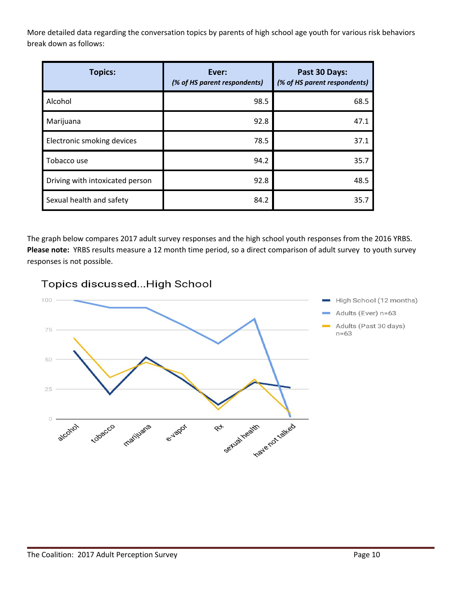More detailed data regarding the conversation topics by parents of high school age youth for various risk behaviors break down as follows:

| <b>Topics:</b>                  | Ever:<br>(% of HS parent respondents) | Past 30 Days:<br>(% of HS parent respondents) |  |  |
|---------------------------------|---------------------------------------|-----------------------------------------------|--|--|
| Alcohol                         | 98.5                                  | 68.5                                          |  |  |
| Marijuana                       | 92.8                                  | 47.1                                          |  |  |
| Electronic smoking devices      | 78.5                                  | 37.1                                          |  |  |
| Tobacco use                     | 94.2                                  | 35.7                                          |  |  |
| Driving with intoxicated person | 92.8                                  | 48.5                                          |  |  |
| Sexual health and safety        | 84.2                                  | 35.7                                          |  |  |

The graph below compares 2017 adult survey responses and the high school youth responses from the 2016 YRBS. **Please note:** YRBS results measure a 12 month time period, so a direct comparison of adult survey to youth survey responses is not possible.

Topics discussed... High School

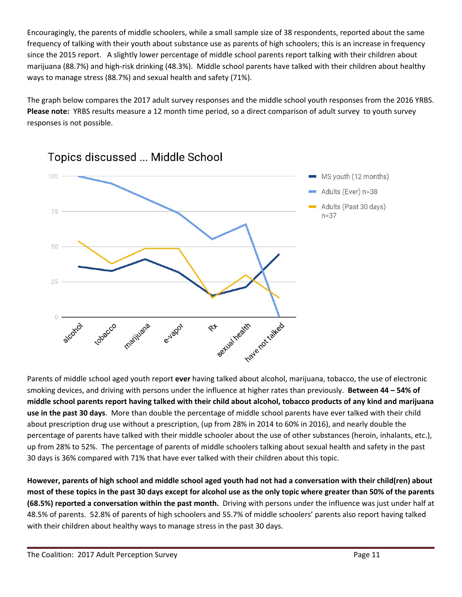Encouragingly, the parents of middle schoolers, while a small sample size of 38 respondents, reported about the same frequency of talking with their youth about substance use as parents of high schoolers; this is an increase in frequency since the 2015 report. A slightly lower percentage of middle school parents report talking with their children about marijuana (88.7%) and high-risk drinking (48.3%). Middle school parents have talked with their children about healthy ways to manage stress (88.7%) and sexual health and safety (71%).

The graph below compares the 2017 adult survey responses and the middle school youth responses from the 2016 YRBS. **Please note:** YRBS results measure a 12 month time period, so a direct comparison of adult survey to youth survey responses is not possible.



Topics discussed ... Middle School

smoking devices, and driving with persons under the influence at higher rates than previously. **Between 44 – 54% of** middle school parents report having talked with their child about alcohol, tobacco products of any kind and marijuana **use in the past 30 days**. More than double the percentage of middle school parents have ever talked with their child about prescription drug use without a prescription, (up from 28% in 2014 to 60% in 2016), and nearly double the percentage of parents have talked with their middle schooler about the use of other substances (heroin, inhalants, etc.), up from 28% to 52%. The percentage of parents of middle schoolers talking about sexual health and safety in the past 30 days is 36% compared with 71% that have ever talked with their children about this topic.

However, parents of high school and middle school aged youth had not had a conversation with their child(ren) about most of these topics in the past 30 days except for alcohol use as the only topic where greater than 50% of the parents **(68.5%) reported a conversation within the past month.** D riving with persons under the influence was just under half at 48.5% of parents. 52.8% of parents of high schoolers and 55.7% of middle schoolers' parents also report having talked with their children about healthy ways to manage stress in the past 30 days.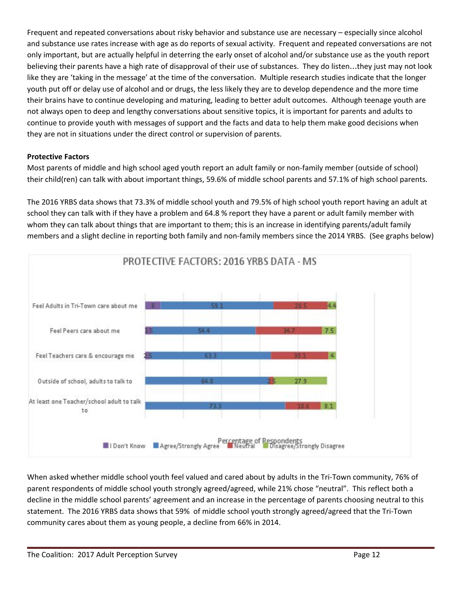Frequent and repeated conversations about risky behavior and substance use are necessary – especially since alcohol and substance use rates increase with age as do reports of sexual activity. Frequent and repeated conversations are not only important, but are actually helpful in deterring the early onset of alcohol and/or substance use as the youth report believing their parents have a high rate of disapproval of their use of substances. They do listen…they just may not look like they are 'taking in the message' at the time of the conversation. Multiple research studies indicate that the longer youth put off or delay use of alcohol and or drugs, the less likely they are to develop dependence and the more time their brains have to continue developing and maturing, leading to better adult outcomes. Although teenage youth are not always open to deep and lengthy conversations about sensitive topics, it is important for parents and adults to continue to provide youth with messages of support and the facts and data to help them make good decisions when they are not in situations under the direct control or supervision of parents.

### **Protective Factors**

Most parents of middle and high school aged youth report an adult family or non-family member (outside of school) their child(ren) can talk with about important things, 59.6% of middle school parents and 57.1% of high school parents.

The 2016 YRBS data shows that 73.3% of middle school youth and 79.5% of high school youth report having an adult at school they can talk with if they have a problem and 64.8 % report they have a parent or adult family member with whom they can talk about things that are important to them; this is an increase in identifying parents/adult family members and a slight decline in reporting both family and non-family members since the 2014 YRBS. (See graphs below)



When asked whether middle school youth feel valued and cared about by adults in the Tri-Town community, 76% of parent respondents of middle school youth strongly agreed/agreed, while 21% chose "neutral". This reflect both a decline in the middle school parents' agreement and an increase in the percentage of parents choosing neutral to this statement. The 2016 YRBS data shows that 59% of middle school youth strongly agreed/agreed that the Tri-Town community cares about them as young people, a decline from 66% in 2014.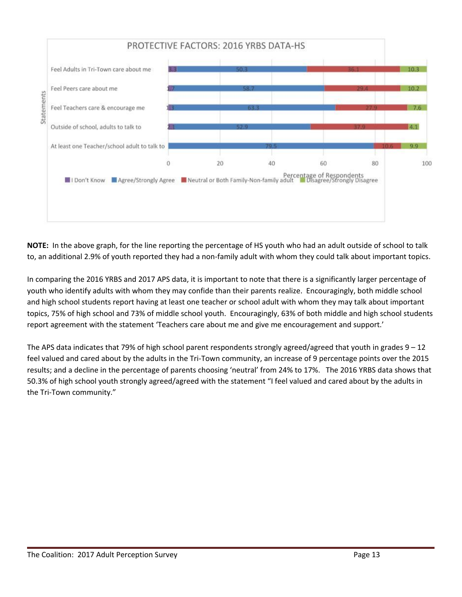

**NOTE:** In the above graph, for the line reporting the percentage of HS youth who had an adult outside of school to talk to, an additional 2.9% of youth reported they had a non-family adult with whom they could talk about important topics.

In comparing the 2016 YRBS and 2017 APS data, it is important to note that there is a significantly larger percentage of youth who identify adults with whom they may confide than their parents realize. Encouragingly, both middle school and high school students report having at least one teacher or school adult with whom they may talk about important topics, 75% of high school and 73% of middle school youth. Encouragingly, 63% of both middle and high school students report agreement with the statement 'Teachers care about me and give me encouragement and support.'

The APS data indicates that 79% of high school parent respondents strongly agreed/agreed that youth in grades  $9 - 12$ feel valued and cared about by the adults in the Tri-Town community, an increase of 9 percentage points over the 2015 results; and a decline in the percentage of parents choosing 'neutral' from 24% to 17%. The 2016 YRBS data shows that 50.3% of high school youth strongly agreed/agreed with the statement "I feel valued and cared about by the adults in the Tri-Town community."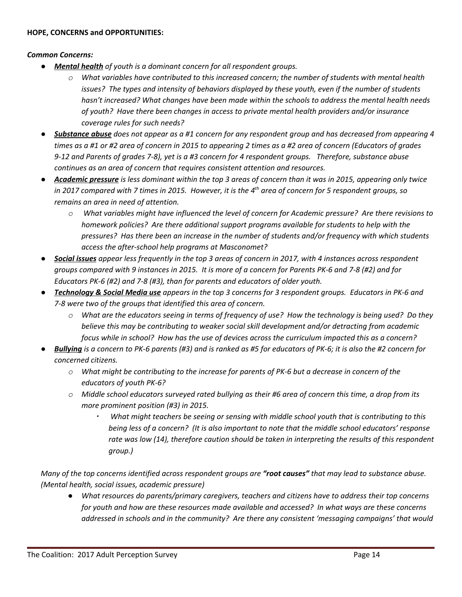#### *Common Concerns:*

- *● Mental health of youth is a dominant concern for all respondent groups.*
	- *o What variables have contributed to this increased concern; the number of students with mental health issues? The types and intensity of behaviors displayed by these youth, even if the number of students hasn't increased? What changes have been made within the schools to address the mental health needs of youth? Have there been changes in access to private mental health providers and/or insurance coverage rules for such needs?*
- Substance abuse does not appear as a #1 concern for any respondent group and has decreased from appearing 4 times as a #1 or #2 area of concern in 2015 to appearing 2 times as a #2 area of concern (Educators of grades 9-12 and Parents of grades 7-8), yet is a #3 concern for 4 respondent groups. Therefore, substance abuse *continues as an area of concern that requires consistent attention and resources.*
- Academic pressure is less dominant within the top 3 areas of concern than it was in 2015, appearing only twice in 2017 compared with 7 times in 2015. However, it is the  $4^{\text{th}}$  area of concern for 5 respondent groups, so *remains an area in need of attention.*
	- *o What variables might have influenced the level of concern for Academic pressure? Are there revisions to homework policies? Are there additional support programs available for students to help with the pressures? Has there been an increase in the number of students and/or frequency with which students access the after-school help programs at Masconomet?*
- Social issues appear less frequently in the top 3 areas of concern in 2017, with 4 instances across respondent groups compared with 9 instances in 2015. It is more of a concern for Parents PK-6 and 7-8 (#2) and for *Educators PK-6 (#2) and 7-8 (#3), than for parents and educators of older youth.*
- Technology & Social Media use appears in the top 3 concerns for 3 respondent groups. Educators in PK-6 and *7-8 were two of the groups that identified this area of concern.*
	- o What are the educators seeing in terms of frequency of use? How the technology is being used? Do they *believe this may be contributing to weaker social skill development and/or detracting from academic* focus while in school? How has the use of devices across the curriculum impacted this as a concern?
- Bullying is a concern to PK-6 parents (#3) and is ranked as #5 for educators of PK-6; it is also the #2 concern for *concerned citizens.*
	- $\circ$  What might be contributing to the increase for parents of PK-6 but a decrease in concern of the *educators of youth PK-6?*
	- $\circ$  Middle school educators surveyed rated bullying as their #6 area of concern this time, a drop from its *more prominent position (#3) in 2015.*
		- ▪ *What might teachers be seeing or sensing with middle school youth that is contributing to this being less of a concern? (It is also important to note that the middle school educators' response rate was low (14), therefore caution should be taken in interpreting the results of this respondent group.)*

Many of the top concerns identified across respondent groups are "root causes" that may lead to substance abuse. *(Mental health, social issues, academic pressure)*

*● What resources do parents/primary caregivers, teachers and citizens have to address their top concerns for youth and how are these resources made available and accessed? In what ways are these concerns addressed in schools and in the community? Are there any consistent 'messaging campaigns' that would*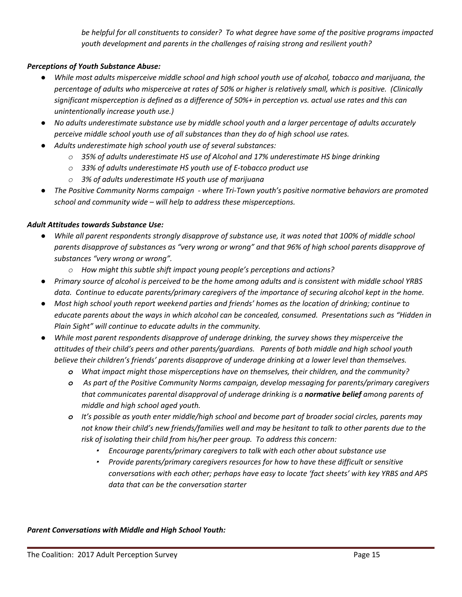*be helpful for all constituents to consider? To what degree have some of the positive programs impacted youth development and parents in the challenges of raising strong and resilient youth?*

#### *Perceptions of Youth Substance Abuse:*

- While most adults misperceive middle school and high school youth use of alcohol, tobacco and marijuana, the percentage of adults who misperceive at rates of 50% or higher is relatively small, which is positive. (Clinically significant misperception is defined as a difference of 50%+ in perception vs. actual use rates and this can *unintentionally increase youth use.)*
- No adults underestimate substance use by middle school youth and a larger percentage of adults accurately *perceive middle school youth use of all substances than they do of high school use rates.*
- *● Adults underestimate high school youth use of several substances:*
	- *o 35% of adults underestimate HS use of Alcohol and 17% underestimate HS binge drinking*
	- *o 33% of adults underestimate HS youth use of E-tobacco product use*
	- *o 3% of adults underestimate HS youth use of marijuana*
- *● The Positive Community Norms campaign - where Tri-Town youth's positive normative behaviors are promoted school and community wide – will help to address these misperceptions.*

#### *Adult Attitudes towards Substance Use:*

- While all parent respondents strongly disapprove of substance use, it was noted that 100% of middle school parents disapprove of substances as "very wrong or wrong" and that 96% of high school parents disapprove of *substances "very wrong or wrong".*
	- *o How might this subtle shift impact young people's perceptions and actions?*
- Primary source of alcohol is perceived to be the home among adults and is consistent with middle school YRBS *data. Continue to educate parents/primary caregivers of the importance of securing alcohol kept in the home.*
- Most high school youth report weekend parties and friends' homes as the location of drinking; continue to educate parents about the ways in which alcohol can be concealed, consumed. Presentations such as "Hidden in *Plain Sight" will continue to educate adults in the community.*
- *● While most parent respondents disapprove of underage drinking, the survey shows they misperceive the attitudes of their child's peers and other parents/guardians. Parents of both middle and high school youth believe their children's friends' parents disapprove of underage drinking at a lower level than themselves.*
	- *o What impact might those misperceptions have on themselves, their children, and the community?*
	- *o As part of the Positive Community Norms campaign, develop messaging for parents/primary caregivers that communicates parental disapproval of underage drinking is a normative belief among parents of middle and high school aged youth.*
	- *o It's possible as youth enter middle/high school and become part of broader social circles, parents may* not know their child's new friends/families well and may be hesitant to talk to other parents due to the *risk of isolating their child from his/her peer group. To address this concern:*
		- *Encourage parents/primary caregivers to talk with each other about substance use*
		- *Provide parents/primary caregivers resources for how to have these difficult or sensitive conversations with each other; perhaps have easy to locate 'fact sheets' with key YRBS and APS data that can be the conversation starter*

*Parent Conversations with Middle and High School Youth:*